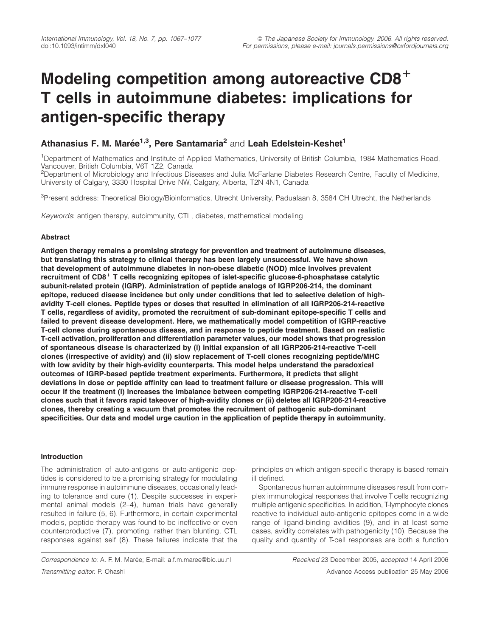# Modeling competition among autoreactive  $CD8<sup>+</sup>$ T cells in autoimmune diabetes: implications for antigen-specific therapy

## Athanasius F. M. Marée<sup>1,3</sup>, Pere Santamaria<sup>2</sup> and Leah Edelstein-Keshet<sup>1</sup>

<sup>1</sup>Department of Mathematics and Institute of Applied Mathematics, University of British Columbia, 1984 Mathematics Road, Vancouver, British Columbia, V6T 1Z2, Canada

<sup>2</sup>Department of Microbiology and Infectious Diseases and Julia McFarlane Diabetes Research Centre, Faculty of Medicine, University of Calgary, 3330 Hospital Drive NW, Calgary, Alberta, T2N 4N1, Canada

<sup>3</sup>Present address: Theoretical Biology/Bioinformatics, Utrecht University, Padualaan 8, 3584 CH Utrecht, the Netherlands

Keywords: antigen therapy, autoimmunity, CTL, diabetes, mathematical modeling

## Abstract

Antigen therapy remains a promising strategy for prevention and treatment of autoimmune diseases, but translating this strategy to clinical therapy has been largely unsuccessful. We have shown that development of autoimmune diabetes in non-obese diabetic (NOD) mice involves prevalent recruitment of  $CD8<sup>+</sup>$  T cells recognizing epitopes of islet-specific glucose-6-phosphatase catalytic subunit-related protein (IGRP). Administration of peptide analogs of IGRP206-214, the dominant epitope, reduced disease incidence but only under conditions that led to selective deletion of highavidity T-cell clones. Peptide types or doses that resulted in elimination of all IGRP206-214-reactive T cells, regardless of avidity, promoted the recruitment of sub-dominant epitope-specific T cells and failed to prevent disease development. Here, we mathematically model competition of IGRP-reactive T-cell clones during spontaneous disease, and in response to peptide treatment. Based on realistic T-cell activation, proliferation and differentiation parameter values, our model shows that progression of spontaneous disease is characterized by (i) initial expansion of all IGRP206-214-reactive T-cell clones (irrespective of avidity) and (ii) slow replacement of T-cell clones recognizing peptide/MHC with low avidity by their high-avidity counterparts. This model helps understand the paradoxical outcomes of IGRP-based peptide treatment experiments. Furthermore, it predicts that slight deviations in dose or peptide affinity can lead to treatment failure or disease progression. This will occur if the treatment (i) increases the imbalance between competing IGRP206-214-reactive T-cell clones such that it favors rapid takeover of high-avidity clones or (ii) deletes all IGRP206-214-reactive clones, thereby creating a vacuum that promotes the recruitment of pathogenic sub-dominant specificities. Our data and model urge caution in the application of peptide therapy in autoimmunity.

## Introduction

The administration of auto-antigens or auto-antigenic peptides is considered to be a promising strategy for modulating immune response in autoimmune diseases, occasionally leading to tolerance and cure (1). Despite successes in experimental animal models (2–4), human trials have generally resulted in failure (5, 6). Furthermore, in certain experimental models, peptide therapy was found to be ineffective or even counterproductive (7), promoting, rather than blunting, CTL responses against self (8). These failures indicate that the

Correspondence to: A. F. M. Marée; E-mail: a.f.m.maree@bio.uu.nl Received 23 December 2005, accepted 14 April 2006 Transmitting editor: P. Ohashi Advance Access publication 25 May 2006

principles on which antigen-specific therapy is based remain ill defined.

Spontaneous human autoimmune diseases result from complex immunological responses that involve T cells recognizing multiple antigenic specificities. In addition, T-lymphocyte clones reactive to individual auto-antigenic epitopes come in a wide range of ligand-binding avidities (9), and in at least some cases, avidity correlates with pathogenicity (10). Because the quality and quantity of T-cell responses are both a function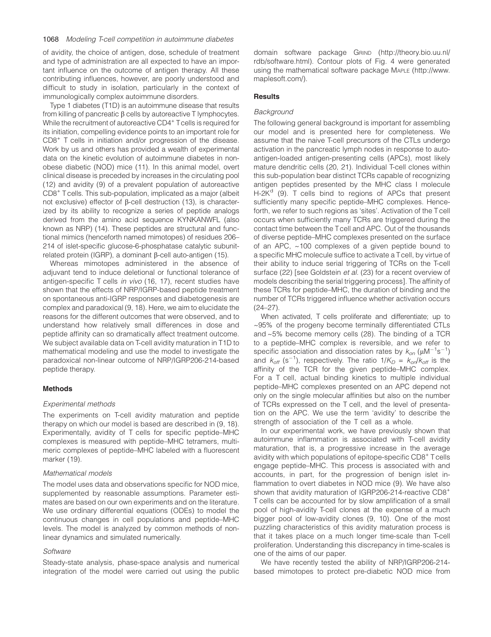of avidity, the choice of antigen, dose, schedule of treatment and type of administration are all expected to have an important influence on the outcome of antigen therapy. All these contributing influences, however, are poorly understood and difficult to study in isolation, particularly in the context of immunologically complex autoimmune disorders.

Type 1 diabetes (T1D) is an autoimmune disease that results from killing of pancreatic  $\beta$  cells by autoreactive T lymphocytes. While the recruitment of autoreactive CD4<sup>+</sup> Tcells is required for its initiation, compelling evidence points to an important role for CD8+ T cells in initiation and/or progression of the disease. Work by us and others has provided a wealth of experimental data on the kinetic evolution of autoimmune diabetes in nonobese diabetic (NOD) mice (11). In this animal model, overt clinical disease is preceded by increases in the circulating pool (12) and avidity (9) of a prevalent population of autoreactive CD8+ Tcells. This sub-population, implicated as a major (albeit not exclusive) effector of β-cell destruction (13), is characterized by its ability to recognize a series of peptide analogs derived from the amino acid sequence KYNKANWFL (also known as NRP) (14). These peptides are structural and functional mimics (henceforth named mimotopes) of residues 206– 214 of islet-specific glucose-6-phosphatase catalytic subunitrelated protein (IGRP), a dominant B-cell auto-antigen (15).

Whereas mimotopes administered in the absence of adjuvant tend to induce deletional or functional tolerance of antigen-specific T cells in vivo (16, 17), recent studies have shown that the effects of NRP/IGRP-based peptide treatment on spontaneous anti-IGRP responses and diabetogenesis are complex and paradoxical (9, 18). Here, we aim to elucidate the reasons for the different outcomes that were observed, and to understand how relatively small differences in dose and peptide affinity can so dramatically affect treatment outcome. We subject available data on T-cell avidity maturation in T1D to mathematical modeling and use the model to investigate the paradoxical non-linear outcome of NRP/IGRP206-214-based peptide therapy.

## Methods

## Experimental methods

The experiments on T-cell avidity maturation and peptide therapy on which our model is based are described in (9, 18). Experimentally, avidity of T cells for specific peptide–MHC complexes is measured with peptide–MHC tetramers, multimeric complexes of peptide–MHC labeled with a fluorescent marker (19).

## Mathematical models

The model uses data and observations specific for NOD mice, supplemented by reasonable assumptions. Parameter estimates are based on our own experiments and on the literature. We use ordinary differential equations (ODEs) to model the continuous changes in cell populations and peptide–MHC levels. The model is analyzed by common methods of nonlinear dynamics and simulated numerically.

## **Software**

Steady-state analysis, phase-space analysis and numerical integration of the model were carried out using the public domain software package GRIND [\(http://theory.bio.uu.nl/](http://theory.bio.uu.nl/rdb/software.html) [rdb/software.html\).](http://theory.bio.uu.nl/rdb/software.html) Contour plots of Fig. 4 were generated using the mathematical software package MAPLE [\(http://www.](http://www.maplesoft.com/) [maplesoft.com/\).](http://www.maplesoft.com/)

## **Results**

## **Background**

The following general background is important for assembling our model and is presented here for completeness. We assume that the naive T-cell precursors of the CTLs undergo activation in the pancreatic lymph nodes in response to autoantigen-loaded antigen-presenting cells (APCs), most likely mature dendritic cells (20, 21). Individual T-cell clones within this sub-population bear distinct TCRs capable of recognizing antigen peptides presented by the MHC class I molecule  $H-2K<sup>d</sup>$  (9). T cells bind to regions of APCs that present sufficiently many specific peptide–MHC complexes. Henceforth, we refer to such regions as 'sites'. Activation of the T cell occurs when sufficiently many TCRs are triggered during the contact time between the Tcell and APC. Out of the thousands of diverse peptide–MHC complexes presented on the surface of an APC, ~100 complexes of a given peptide bound to a specific MHC molecule suffice to activate a Tcell, by virtue of their ability to induce serial triggering of TCRs on the T-cell surface (22) [see Goldstein et al. (23) for a recent overview of models describing the serial triggering process]. The affinity of these TCRs for peptide–MHC, the duration of binding and the number of TCRs triggered influence whether activation occurs (24–27).

When activated, T cells proliferate and differentiate; up to ~95% of the progeny become terminally differentiated CTLs and ~5% become memory cells (28). The binding of a TCR to a peptide–MHC complex is reversible, and we refer to specific association and dissociation rates by  $k_{on}$  ( $\mu$ M<sup>-1</sup>s<sup>-1</sup>) and  $k_{off}$  (s<sup>-1</sup>), respectively. The ratio  $1/K_D = k_{on}/k_{off}$  is the affinity of the TCR for the given peptide–MHC complex. For a T cell, actual binding kinetics to multiple individual peptide–MHC complexes presented on an APC depend not only on the single molecular affinities but also on the number of TCRs expressed on the T cell, and the level of presentation on the APC. We use the term 'avidity' to describe the strength of association of the T cell as a whole.

In our experimental work, we have previously shown that autoimmune inflammation is associated with T-cell avidity maturation, that is, a progressive increase in the average avidity with which populations of epitope-specific CD8<sup>+</sup> Tcells engage peptide–MHC. This process is associated with and accounts, in part, for the progression of benign islet inflammation to overt diabetes in NOD mice (9). We have also shown that avidity maturation of IGRP206-214-reactive CD8<sup>+</sup> T cells can be accounted for by slow amplification of a small pool of high-avidity T-cell clones at the expense of a much bigger pool of low-avidity clones (9, 10). One of the most puzzling characteristics of this avidity maturation process is that it takes place on a much longer time-scale than T-cell proliferation. Understanding this discrepancy in time-scales is one of the aims of our paper.

We have recently tested the ability of NRP/IGRP206-214based mimotopes to protect pre-diabetic NOD mice from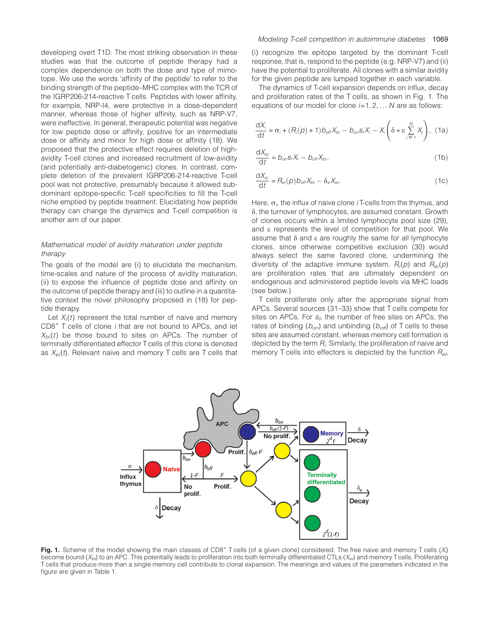developing overt T1D. The most striking observation in these studies was that the outcome of peptide therapy had a complex dependence on both the dose and type of mimotope. We use the words 'affinity of the peptide' to refer to the binding strength of the peptide–MHC complex with the TCR of the IGRP206-214-reactive T cells. Peptides with lower affinity, for example, NRP-I4, were protective in a dose-dependent manner, whereas those of higher affinity, such as NRP-V7, were ineffective. In general, therapeutic potential was negative for low peptide dose or affinity, positive for an intermediate dose or affinity and minor for high dose or affinity (18). We proposed that the protective effect requires deletion of highavidity T-cell clones and increased recruitment of low-avidity (and potentially anti-diabetogenic) clones. In contrast, complete deletion of the prevalent IGRP206-214-reactive T-cell pool was not protective, presumably because it allowed subdominant epitope-specific T-cell specificities to fill the T-cell niche emptied by peptide treatment. Elucidating how peptide therapy can change the dynamics and T-cell competition is another aim of our paper.

## Mathematical model of avidity maturation under peptide therapy

The goals of the model are (i) to elucidate the mechanism, time-scales and nature of the process of avidity maturation, (ii) to expose the influence of peptide dose and affinity on the outcome of peptide therapy and (iii) to outline in a quantitative context the novel philosophy proposed in (18) for peptide therapy.

Let  $X_i(t)$  represent the total number of naive and memory CD8<sup>+</sup> T cells of clone i that are not bound to APCs, and let  $X_{bi}(t)$  be those bound to sites on APCs. The number of terminally differentiated effector T cells of this clone is denoted as  $X_{ei}(t)$ . Relevant naive and memory T cells are T cells that (i) recognize the epitope targeted by the dominant T-cell response, that is, respond to the peptide (e.g. NRP-V7) and (ii) have the potential to proliferate. All clones with a similar avidity for the given peptide are lumped together in each variable.

The dynamics of T-cell expansion depends on influx, decay and proliferation rates of the T cells, as shown in Fig. 1. The equations of our model for clone  $i=1, 2, \ldots N$  are as follows:

$$
\frac{dX_i}{dt} = \sigma_i + (R_i(p) + 1)b_{off}X_{bi} - b_{on}S_iX_i - X_i\left(\delta + \varepsilon \sum_{j=1}^N X_j\right), (1a)
$$

$$
\frac{\mathrm{d}X_{bi}}{\mathrm{d}t} = b_{on} s_t X_i - b_{off} X_{bi},\tag{1b}
$$

$$
\frac{\mathrm{d}X_{\mathrm{ei}}}{\mathrm{d}t} = R_{\mathrm{ei}}(p)b_{\mathrm{off}}X_{\mathrm{bi}} - \delta_{\mathrm{e}}X_{\mathrm{ei}}.\tag{1c}
$$

Here,  $\sigma_i$ , the influx of naive clone *i* T-cells from the thymus, and  $\delta$ , the turnover of lymphocytes, are assumed constant. Growth of clones occurs within a limited lymphocyte pool size (29), and e represents the level of competition for that pool. We assume that  $\delta$  and  $\epsilon$  are roughly the same for all lymphocyte clones, since otherwise competitive exclusion (30) would always select the same favored clone, undermining the diversity of the adaptive immune system.  $R_i(p)$  and  $R_{ei}(p)$ are proliferation rates that are ultimately dependent on endogenous and administered peptide levels via MHC loads (see below.)

T cells proliferate only after the appropriate signal from APCs. Several sources (31–33) show that T cells compete for sites on APCs. For  $s_f$ , the number of free sites on APCs, the rates of binding  $(b_{\text{on}})$  and unbinding  $(b_{\text{off}})$  of T cells to these sites are assumed constant, whereas memory cell formation is depicted by the term  $R_i$ . Similarly, the proliferation of naive and memory T cells into effectors is depicted by the function  $R_{ei}$ ,



Fig. 1. Scheme of the model showing the main classes of CD8<sup>+</sup> T cells (of a given clone) considered. The free naive and memory T cells (X<sub>i</sub>) become bound  $(X_{bi})$  to an APC. This potentially leads to proliferation into both terminally differentiated CTLs  $(X_{ei})$  and memory Tcells. Proliferating T cells that produce more than a single memory cell contribute to clonal expansion. The meanings and values of the parameters indicated in the figure are given in Table 1.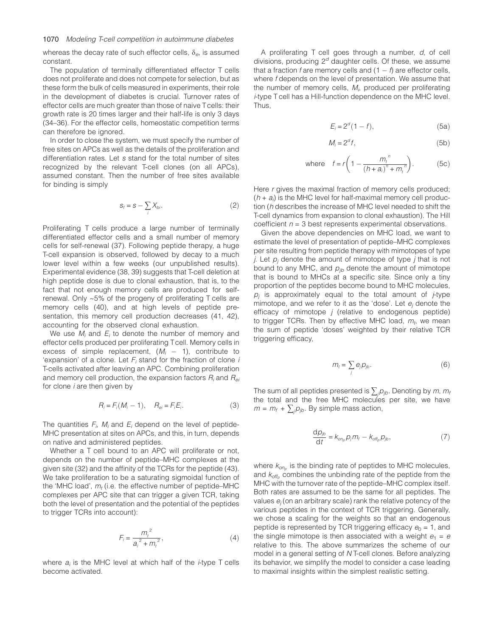whereas the decay rate of such effector cells,  $\delta_e$ , is assumed constant.

The population of terminally differentiated effector T cells does not proliferate and does not compete for selection, but as these form the bulk of cells measured in experiments, their role in the development of diabetes is crucial. Turnover rates of effector cells are much greater than those of naive Tcells: their growth rate is 20 times larger and their half-life is only 3 days (34–36). For the effector cells, homeostatic competition terms can therefore be ignored.

In order to close the system, we must specify the number of free sites on APCs as well as the details of the proliferation and differentiation rates. Let s stand for the total number of sites recognized by the relevant T-cell clones (on all APCs), assumed constant. Then the number of free sites available for binding is simply

$$
S_f = S - \sum_i X_{bi}.\tag{2}
$$

Proliferating T cells produce a large number of terminally differentiated effector cells and a small number of memory cells for self-renewal (37). Following peptide therapy, a huge T-cell expansion is observed, followed by decay to a much lower level within a few weeks (our unpublished results). Experimental evidence (38, 39) suggests that T-cell deletion at high peptide dose is due to clonal exhaustion, that is, to the fact that not enough memory cells are produced for selfrenewal. Only ~5% of the progeny of proliferating T cells are memory cells (40), and at high levels of peptide presentation, this memory cell production decreases (41, 42), accounting for the observed clonal exhaustion.

We use  $M_i$  and  $E_i$  to denote the number of memory and effector cells produced per proliferating Tcell. Memory cells in excess of simple replacement,  $(M_i - 1)$ , contribute to 'expansion' of a clone. Let  $F_i$  stand for the fraction of clone  $i$ T-cells activated after leaving an APC. Combining proliferation and memory cell production, the expansion factors  $R_i$  and  $R_{ei}$ for clone  $i$  are then given by

$$
R_i = F_i(M_i - 1), \quad R_{ei} = F_i E_i. \tag{3}
$$

The quantities  $F_i$ ,  $M_i$  and  $E_i$  depend on the level of peptide-MHC presentation at sites on APCs, and this, in turn, depends on native and administered peptides.

Whether a T cell bound to an APC will proliferate or not, depends on the number of peptide–MHC complexes at the given site (32) and the affinity of the TCRs for the peptide (43). We take proliferation to be a saturating sigmoidal function of the 'MHC load',  $m_t$  (i.e. the effective number of peptide–MHC complexes per APC site that can trigger a given TCR, taking both the level of presentation and the potential of the peptides to trigger TCRs into account):

$$
F_i = \frac{m_t^2}{a_i^2 + m_t^2},
$$
\n(4)

where  $a_i$  is the MHC level at which half of the *i*-type T cells become activated.

A proliferating T cell goes through a number, d, of cell divisions, producing  $2<sup>d</sup>$  daughter cells. Of these, we assume that a fraction f are memory cells and  $(1 - f)$  are effector cells, where f depends on the level of presentation. We assume that the number of memory cells,  $M_{i}$ , produced per proliferating i-type T cell has a Hill-function dependence on the MHC level. Thus,

$$
E_i = 2^d (1 - f), \tag{5a}
$$

$$
M_i = 2^d f,\tag{5b}
$$

where 
$$
f = r \left( 1 - \frac{m_t^{n}}{(h + a_i)^n + m_t^{n}} \right)
$$
. (5c)

Here r gives the maximal fraction of memory cells produced;  $(h + a_i)$  is the MHC level for half-maximal memory cell production (h describes the increase of MHC level needed to shift the T-cell dynamics from expansion to clonal exhaustion). The Hill coefficient  $n = 3$  best represents experimental observations.

Given the above dependencies on MHC load, we want to estimate the level of presentation of peptide–MHC complexes per site resulting from peptide therapy with mimotopes of type j. Let  $p_i$  denote the amount of mimotope of type j that is not bound to any MHC, and  $p_{ib}$  denote the amount of mimotope that is bound to MHCs at a specific site. Since only a tiny proportion of the peptides become bound to MHC molecules,  $p_i$  is approximately equal to the total amount of  $\dot{f}$ -type mimotope, and we refer to it as the 'dose'. Let  $e_i$  denote the efficacy of mimotope  $j$  (relative to endogenous peptide) to trigger TCRs. Then by effective MHC load,  $m_t$ , we mean the sum of peptide 'doses' weighted by their relative TCR triggering efficacy,

$$
m_t = \sum_j e_j p_{jb}.
$$
 (6)

The sum of all peptides presented is  $\sum_j \! \rho_{j b}$ . Denoting by  $m$ ,  $m_i$ the total and the free MHC molecules per site, we have  $m = m_f + \sum_j p_{jb}$ . By simple mass action,

$$
\frac{\mathrm{d}p_{jb}}{\mathrm{d}t} = k_{on_p}p_jm_f - k_{off_p}p_{jb},\tag{7}
$$

where  $k_{on}$  is the binding rate of peptides to MHC molecules, and  $k_{off<sub>p</sub>}$  combines the unbinding rate of the peptide from the MHC with the turnover rate of the peptide–MHC complex itself. Both rates are assumed to be the same for all peptides. The values  $e_i$  (on an arbitrary scale) rank the relative potency of the various peptides in the context of TCR triggering. Generally, we chose a scaling for the weights so that an endogenous peptide is represented by TCR triggering efficacy  $e_0 = 1$ , and the single mimotope is then associated with a weight  $e_1 = e$ relative to this. The above summarizes the scheme of our model in a general setting of N T-cell clones. Before analyzing its behavior, we simplify the model to consider a case leading to maximal insights within the simplest realistic setting.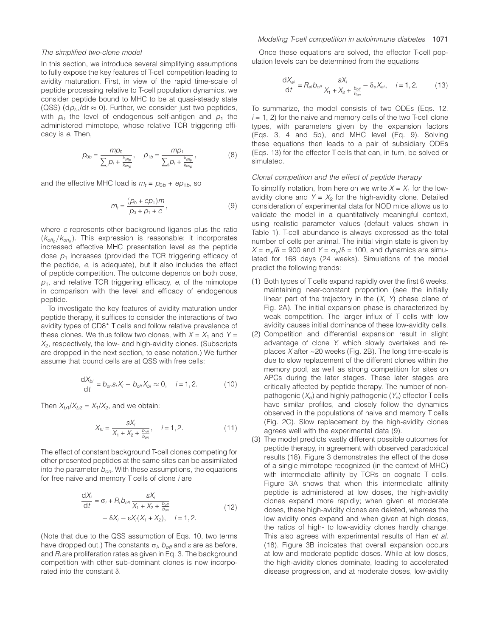#### The simplified two-clone model

In this section, we introduce several simplifying assumptions to fully expose the key features of T-cell competition leading to avidity maturation. First, in view of the rapid time-scale of peptide processing relative to T-cell population dynamics, we consider peptide bound to MHC to be at quasi-steady state (QSS) (d $p_{bi}/$ dt  $\approx$  0). Further, we consider just two peptides, with  $p_0$  the level of endogenous self-antigen and  $p_1$  the administered mimotope, whose relative TCR triggering efficacy is e. Then,

$$
p_{0b} = \frac{mp_0}{\sum_{i} p_i + \frac{k_{offp}}{k_{onp}}}, \quad p_{1b} = \frac{mp_1}{\sum_{i} p_i + \frac{k_{offp}}{k_{onp}}},
$$
(8)

and the effective MHC load is  $m_t = p_{0b} + ep_{1b}$ , so

$$
m_t = \frac{(\rho_0 + e\rho_1)m}{\rho_0 + \rho_1 + c},\tag{9}
$$

where c represents other background ligands plus the ratio  $(k<sub>off</sub>, / k<sub>on</sub>)$ . This expression is reasonable: it incorporates increased effective MHC presentation level as the peptide dose  $p_1$  increases (provided the TCR triggering efficacy of the peptide, e, is adequate), but it also includes the effect of peptide competition. The outcome depends on both dose,  $p_1$ , and relative TCR triggering efficacy, e, of the mimotope in comparison with the level and efficacy of endogenous peptide.

To investigate the key features of avidity maturation under peptide therapy, it suffices to consider the interactions of two avidity types of CD8<sup>+</sup> T cells and follow relative prevalence of these clones. We thus follow two clones, with  $X = X_1$  and  $Y =$  $X<sub>2</sub>$ , respectively, the low- and high-avidity clones. (Subscripts are dropped in the next section, to ease notation.) We further assume that bound cells are at QSS with free cells:

$$
\frac{\mathrm{d}X_{bi}}{\mathrm{d}t}=b_{on}S_{f}X_{i}-b_{off}X_{bi}\approx 0, \quad i=1,2. \tag{10}
$$

Then  $X_{b1}/X_{b2} = X_1/X_2$ , and we obtain:

$$
X_{bi} = \frac{S X_i}{X_1 + X_2 + \frac{b_{off}}{b_{on}}}, \quad i = 1, 2.
$$
 (11)

The effect of constant background T-cell clones competing for other presented peptides at the same sites can be assimilated into the parameter  $b_{op}$ . With these assumptions, the equations for free naive and memory T cells of clone i are

$$
\frac{dX_i}{dt} = \sigma_i + R_i b_{off} \frac{S X_i}{X_1 + X_2 + \frac{b_{off}}{b_{on}}}
$$
  
-  $\delta X_i - \varepsilon X_i (X_1 + X_2), \quad i = 1, 2.$  (12)

(Note that due to the QSS assumption of Eqs. 10, two terms have dropped out.) The constants  $\sigma_i$ ,  $b_{\mathit{off}}$  and  $\varepsilon$  are as before, and  $R_i$  are proliferation rates as given in Eq. 3. The background competition with other sub-dominant clones is now incorporated into the constant  $\delta$ .

Once these equations are solved, the effector T-cell population levels can be determined from the equations

$$
\frac{\mathrm{d}X_{\mathrm{ei}}}{\mathrm{d}t} = R_{\mathrm{ei}} b_{\mathrm{off}} \frac{\mathrm{s}X_i}{X_1 + X_2 + \frac{b_{\mathrm{off}}}{b_{\mathrm{on}}}} - \delta_e X_{\mathrm{ei}}, \quad i = 1, 2. \tag{13}
$$

To summarize, the model consists of two ODEs (Eqs. 12,  $i = 1, 2$ ) for the naive and memory cells of the two T-cell clone types, with parameters given by the expansion factors (Eqs. 3, 4 and 5b), and MHC level (Eq. 9). Solving these equations then leads to a pair of subsidiary ODEs (Eqs. 13) for the effector T cells that can, in turn, be solved or simulated.

#### Clonal competition and the effect of peptide therapy

To simplify notation, from here on we write  $X = X_1$  for the lowavidity clone and  $Y = X_2$  for the high-avidity clone. Detailed consideration of experimental data for NOD mice allows us to validate the model in a quantitatively meaningful context, using realistic parameter values (default values shown in Table 1). T-cell abundance is always expressed as the total number of cells per animal. The initial virgin state is given by  $X = \sigma_x / \delta = 900$  and  $Y = \sigma_y / \delta = 100$ , and dynamics are simulated for 168 days (24 weeks). Simulations of the model predict the following trends:

- (1) Both types of T cells expand rapidly over the first 6 weeks, maintaining near-constant proportion (see the initially linear part of the trajectory in the  $(X, Y)$  phase plane of Fig. 2A). The initial expansion phase is characterized by weak competition. The larger influx of T cells with low avidity causes initial dominance of these low-avidity cells.
- (2) Competition and differential expansion result in slight advantage of clone Y, which slowly overtakes and replaces  $X$  after  $\sim$  20 weeks (Fig. 2B). The long time-scale is due to slow replacement of the different clones within the memory pool, as well as strong competition for sites on APCs during the later stages. These later stages are critically affected by peptide therapy. The number of nonpathogenic  $(X_e)$  and highly pathogenic  $(Y_e)$  effector T cells have similar profiles, and closely follow the dynamics observed in the populations of naive and memory T cells (Fig. 2C). Slow replacement by the high-avidity clones agrees well with the experimental data (9).
- (3) The model predicts vastly different possible outcomes for peptide therapy, in agreement with observed paradoxical results (18). Figure 3 demonstrates the effect of the dose of a single mimotope recognized (in the context of MHC) with intermediate affinity by TCRs on cognate T cells. Figure 3A shows that when this intermediate affinity peptide is administered at low doses, the high-avidity clones expand more rapidly; when given at moderate doses, these high-avidity clones are deleted, whereas the low avidity ones expand and when given at high doses, the ratios of high- to low-avidity clones hardly change. This also agrees with experimental results of Han et al. (18). Figure 3B indicates that overall expansion occurs at low and moderate peptide doses. While at low doses, the high-avidity clones dominate, leading to accelerated disease progression, and at moderate doses, low-avidity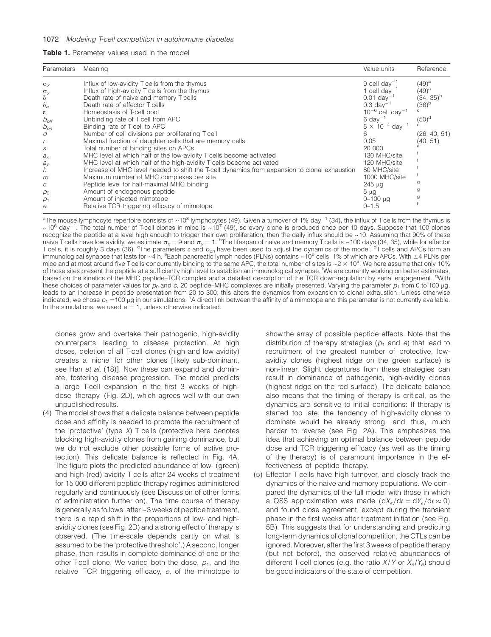| <b>Table 1.</b> Parameter values used in the model |  |
|----------------------------------------------------|--|
|----------------------------------------------------|--|

| Parameters<br>Meaning                                                                                                                                                                                                                                                                                                                                                                                                                                                                                                                                                                                                                                                                                                                                                                                                                                                                                                                                                                                                       | Value units                                                                                                                                                                                                                                                                                                                                    | Reference                                                                                                   |
|-----------------------------------------------------------------------------------------------------------------------------------------------------------------------------------------------------------------------------------------------------------------------------------------------------------------------------------------------------------------------------------------------------------------------------------------------------------------------------------------------------------------------------------------------------------------------------------------------------------------------------------------------------------------------------------------------------------------------------------------------------------------------------------------------------------------------------------------------------------------------------------------------------------------------------------------------------------------------------------------------------------------------------|------------------------------------------------------------------------------------------------------------------------------------------------------------------------------------------------------------------------------------------------------------------------------------------------------------------------------------------------|-------------------------------------------------------------------------------------------------------------|
| Influx of low-avidity T cells from the thymus<br>$\sigma_{\rm x}$<br>Influx of high-avidity T cells from the thymus<br>$\sigma_{V}$<br>Death rate of naive and memory T cells<br>δ<br>$\delta_e$<br>Death rate of effector T cells<br>Homeostasis of T-cell pool<br>ε<br>Unbinding rate of T cell from APC<br>$b_{\text{off}}$<br>Binding rate of T cell to APC<br>$b_{\text{on}}$<br>Number of cell divisions per proliferating T cell<br>d<br>6<br>Maximal fraction of daughter cells that are memory cells<br>Total number of binding sites on APCs<br>S<br>MHC level at which half of the low-avidity T cells become activated<br>$a_{x}$<br>MHC level at which half of the high-avidity T cells become activated<br>$a_{V}$<br>Increase of MHC level needed to shift the T-cell dynamics from expansion to clonal exhaustion<br>h<br>Maximum number of MHC complexes per site<br>m<br>Peptide level for half-maximal MHC binding<br>С<br>Amount of endogenous peptide<br>$p_0$<br>Amount of injected mimotope<br>$p_1$ | 9 cell day <sup>-1</sup><br>1 cell day <sup>-1</sup><br>$0.01 \text{ day}^{-1}$<br>$0.3 \text{ day}^{-1}$<br>$10^{-6}$ cell day <sup>-1</sup><br>$6 \text{ day}^{-1}$<br>$5 \times 10^{-4}$ day <sup>-1</sup><br>0.05<br>20 000<br>130 MHC/site<br>120 MHC/site<br>80 MHC/site<br>1000 MHC/site<br>$245 \mu$ q<br>$5 \mu g$<br>$0 - 100 \mu g$ | $(49)^{a}$<br>$(49)^{a}$<br>$(34, 35)^{b}$<br>$(36)^{b}$<br>$(50)$ <sup>d</sup><br>(26, 40, 51)<br>(40, 51) |

<sup>a</sup>The mouse lymphocyte repertoire consists of ~10<sup>8</sup> lymphocytes (49). Given a turnover of 1% day<sup>-1</sup> (34), the influx of T cells from the thymus is  $\sim$ 10<sup>6</sup> day<sup>-1</sup>. The total number of T-cell clones in mice is  $\sim$ 10<sup>7</sup> (49), so every clone is produced once per 10 days. Suppose that 100 clones recognize the peptide at a level high enough to trigger their own proliferation, then the daily influx should be ~10. Assuming that 90% of these naive T cells have low avidity, we estimate  $\sigma_x = 9$  and  $\sigma_y = 1$ . <sup>b</sup>The lifespan of naive and memory T cells is ~100 days (34, 35), while for effector T cells, it is roughly 3 days (36). <sup>c</sup>The parameters  $\varepsilon$  and  $b_{on}$  have been used to adjust the dynamics of the model. <sup>d</sup>T cells and APCs form an immunological synapse that lasts for ~4 h. <sup>e</sup>Each pancreatic lymph nodes (PLNs) contains ~10<sup>6</sup> cells, 1% of which are APCs. With ±4 PLNs per mice and at most around five T cells concurrently binding to the same APC, the total number of sites is  $\sim$  2  $\times$  10<sup>5</sup>. We here assume that only 10% of those sites present the peptide at a sufficiently high level to establish an immunological synapse. <sup>f</sup> We are currently working on better estimates, based on the kinetics of the MHC peptide–TCR complex and a detailed description of the TCR down-regulation by serial engagement. <sup>g</sup>With these choices of parameter values for  $p_0$  and c, 20 peptide–MHC complexes are initially presented. Varying the parameter  $p_1$  from 0 to 100 µg, leads to an increase in peptide presentation from 20 to 300; this alters the dynamics from expansion to clonal exhaustion. Unless otherwise indicated, we chose  $\rho_1$  =100 µg in our simulations. <sup>h</sup>A direct link between the affinity of a mimotope and this parameter is not currently available. In the simulations, we used  $e = 1$ , unless otherwise indicated.

clones grow and overtake their pathogenic, high-avidity counterparts, leading to disease protection. At high doses, deletion of all T-cell clones (high and low avidity) creates a 'niche' for other clones [likely sub-dominant, see Han et al. (18)]. Now these can expand and dominate, fostering disease progression. The model predicts a large T-cell expansion in the first 3 weeks of highdose therapy (Fig. 2D), which agrees well with our own unpublished results.

(4) The model shows that a delicate balance between peptide dose and affinity is needed to promote the recruitment of the 'protective' (type  $X$ ) T cells (protective here denotes blocking high-avidity clones from gaining dominance, but we do not exclude other possible forms of active protection). This delicate balance is reflected in Fig. 4A. The figure plots the predicted abundance of low- (green) and high (red)-avidity T cells after 24 weeks of treatment for 15 000 different peptide therapy regimes administered regularly and continuously (see Discussion of other forms of administration further on). The time course of therapy is generally as follows: after ~3 weeks of peptide treatment, there is a rapid shift in the proportions of low- and highavidity clones (see Fig. 2D) and a strong effect of therapy is observed. (The time-scale depends partly on what is assumed to be the 'protective threshold'.) A second, longer phase, then results in complete dominance of one or the other T-cell clone. We varied both the dose,  $p_1$ , and the relative TCR triggering efficacy, e, of the mimotope to

show the array of possible peptide effects. Note that the distribution of therapy strategies ( $p_1$  and e) that lead to recruitment of the greatest number of protective, lowavidity clones (highest ridge on the green surface) is non-linear. Slight departures from these strategies can result in dominance of pathogenic, high-avidity clones (highest ridge on the red surface). The delicate balance also means that the timing of therapy is critical, as the dynamics are sensitive to initial conditions: If therapy is started too late, the tendency of high-avidity clones to dominate would be already strong, and thus, much harder to reverse (see Fig. 2A). This emphasizes the idea that achieving an optimal balance between peptide dose and TCR triggering efficacy (as well as the timing of the therapy) is of paramount importance in the effectiveness of peptide therapy.

(5) Effector T cells have high turnover, and closely track the dynamics of the naive and memory populations. We compared the dynamics of the full model with those in which a QSS approximation was made  $(dX_e/dt = dY_e/dt \approx 0)$ and found close agreement, except during the transient phase in the first weeks after treatment initiation (see Fig. 5B). This suggests that for understanding and predicting long-term dynamics of clonal competition, the CTLs can be ignored. Moreover, after the first 3 weeks of peptide therapy (but not before), the observed relative abundances of different T-cell clones (e.g. the ratio  $X/Y$  or  $X_0/Y_0$ ) should be good indicators of the state of competition.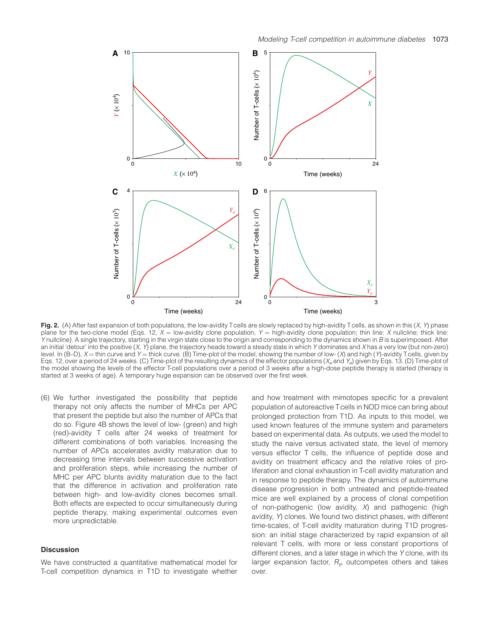

Fig. 2. (A) After fast expansion of both populations, the low-avidity Tcells are slowly replaced by high-avidity Tcells, as shown in this  $(X, Y)$  phase plane for the two-clone model (Eqs. 12,  $X =$  low-avidity clone population,  $Y =$  high-avidity clone population; thin line: X nullcline; thick line: Y nullcline). A single trajectory, starting in the virgin state close to the origin and corresponding to the dynamics shown in B is superimposed. After an initial 'detour' into the positive  $(X, Y)$  plane, the trajectory heads toward a steady state in which Y dominates and X has a very low (but non-zero) level. In  $(B-D)$ ,  $X =$  thin curve and  $Y =$  thick curve. (B) Time-plot of the model, showing the number of low- (X) and high (Y)-avidity Tcells, given by Eqs. 12, over a period of 24 weeks. (C) Time-plot of the resulting dynamics of the effector populations ( $X_e$  and  $Y_e$ ) given by Eqs. 13. (D) Time-plot of the model showing the levels of the effector T-cell populations over a period of 3 weeks after a high-dose peptide therapy is started (therapy is started at 3 weeks of age). A temporary huge expansion can be observed over the first week.

(6) We further investigated the possibility that peptide therapy not only affects the number of MHCs per APC that present the peptide but also the number of APCs that do so. Figure 4B shows the level of low- (green) and high (red)-avidity T cells after 24 weeks of treatment for different combinations of both variables. Increasing the number of APCs accelerates avidity maturation due to decreasing time intervals between successive activation and proliferation steps, while increasing the number of MHC per APC blunts avidity maturation due to the fact that the difference in activation and proliferation rate between high- and low-avidity clones becomes small. Both effects are expected to occur simultaneously during peptide therapy, making experimental outcomes even more unpredictable.

## **Discussion**

We have constructed a quantitative mathematical model for T-cell competition dynamics in T1D to investigate whether and how treatment with mimotopes specific for a prevalent population of autoreactive Tcells in NOD mice can bring about prolonged protection from T1D. As inputs to this model, we used known features of the immune system and parameters based on experimental data. As outputs, we used the model to study the naive versus activated state, the level of memory versus effector T cells, the influence of peptide dose and avidity on treatment efficacy and the relative roles of proliferation and clonal exhaustion in T-cell avidity maturation and in response to peptide therapy. The dynamics of autoimmune disease progression in both untreated and peptide-treated mice are well explained by a process of clonal competition of non-pathogenic (low avidity,  $X$ ) and pathogenic (high avidity, Y) clones. We found two distinct phases, with different time-scales, of T-cell avidity maturation during T1D progression: an initial stage characterized by rapid expansion of all relevant T cells, with more or less constant proportions of different clones, and a later stage in which the Y clone, with its larger expansion factor,  $R_{\nu}$  outcompetes others and takes over.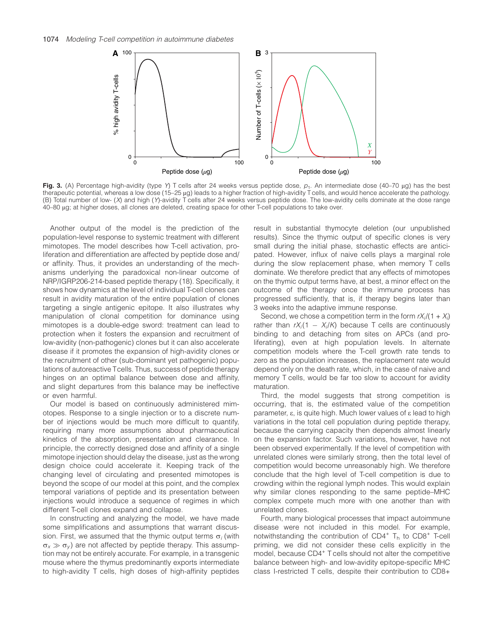

Fig. 3. (A) Percentage high-avidity (type Y) T cells after 24 weeks versus peptide dose,  $p_1$ . An intermediate dose (40–70 µg) has the best therapeutic potential, whereas a low dose (15–25 lg) leads to a higher fraction of high-avidity T cells, and would hence accelerate the pathology. (B) Total number of low- (X) and high (Y)-avidity T cells after 24 weeks versus peptide dose. The low-avidity cells dominate at the dose range 40–80 lg; at higher doses, all clones are deleted, creating space for other T-cell populations to take over.

Another output of the model is the prediction of the population-level response to systemic treatment with different mimotopes. The model describes how T-cell activation, proliferation and differentiation are affected by peptide dose and/ or affinity. Thus, it provides an understanding of the mechanisms underlying the paradoxical non-linear outcome of NRP/IGRP206-214-based peptide therapy (18). Specifically, it shows how dynamics at the level of individual T-cell clones can result in avidity maturation of the entire population of clones targeting a single antigenic epitope. It also illustrates why manipulation of clonal competition for dominance using mimotopes is a double-edge sword: treatment can lead to protection when it fosters the expansion and recruitment of low-avidity (non-pathogenic) clones but it can also accelerate disease if it promotes the expansion of high-avidity clones or the recruitment of other (sub-dominant yet pathogenic) populations of autoreactive Tcells. Thus, success of peptide therapy hinges on an optimal balance between dose and affinity, and slight departures from this balance may be ineffective or even harmful.

Our model is based on continuously administered mimotopes. Response to a single injection or to a discrete number of injections would be much more difficult to quantify, requiring many more assumptions about pharmaceutical kinetics of the absorption, presentation and clearance. In principle, the correctly designed dose and affinity of a single mimotope injection should delay the disease, just as the wrong design choice could accelerate it. Keeping track of the changing level of circulating and presented mimotopes is beyond the scope of our model at this point, and the complex temporal variations of peptide and its presentation between injections would introduce a sequence of regimes in which different T-cell clones expand and collapse.

In constructing and analyzing the model, we have made some simplifications and assumptions that warrant discussion. First, we assumed that the thymic output terms  $\sigma_i$  (with  $\sigma_x \gg \sigma_y$ ) are not affected by peptide therapy. This assumption may not be entirely accurate. For example, in a transgenic mouse where the thymus predominantly exports intermediate to high-avidity T cells, high doses of high-affinity peptides

result in substantial thymocyte deletion (our unpublished results). Since the thymic output of specific clones is very small during the initial phase, stochastic effects are anticipated. However, influx of naive cells plays a marginal role during the slow replacement phase, when memory T cells dominate. We therefore predict that any effects of mimotopes on the thymic output terms have, at best, a minor effect on the outcome of the therapy once the immune process has progressed sufficiently, that is, if therapy begins later than 3 weeks into the adaptive immune response.

Second, we chose a competition term in the form  $rX_i/(1+X_i)$ rather than  $rX_i(1 - X_i/K)$  because T cells are continuously binding to and detaching from sites on APCs (and proliferating), even at high population levels. In alternate competition models where the T-cell growth rate tends to zero as the population increases, the replacement rate would depend only on the death rate, which, in the case of naive and memory T cells, would be far too slow to account for avidity maturation.

Third, the model suggests that strong competition is occurring, that is, the estimated value of the competition parameter, e, is quite high. Much lower values of e lead to high variations in the total cell population during peptide therapy, because the carrying capacity then depends almost linearly on the expansion factor. Such variations, however, have not been observed experimentally. If the level of competition with unrelated clones were similarly strong, then the total level of competition would become unreasonably high. We therefore conclude that the high level of T-cell competition is due to crowding within the regional lymph nodes. This would explain why similar clones responding to the same peptide–MHC complex compete much more with one another than with unrelated clones.

Fourth, many biological processes that impact autoimmune disease were not included in this model. For example, notwithstanding the contribution of  $CD4^+$  T<sub>h</sub> to  $CD8^+$  T-cell priming, we did not consider these cells explicitly in the model, because CD4<sup>+</sup> T cells should not alter the competitive balance between high- and low-avidity epitope-specific MHC class I-restricted T cells, despite their contribution to CD8+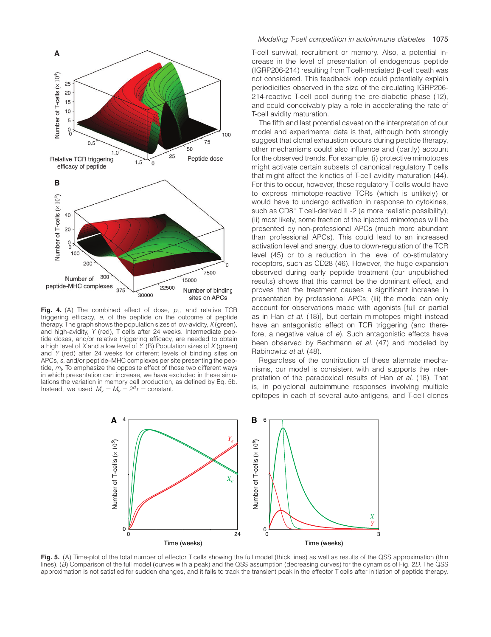

Fig. 4. (A) The combined effect of dose,  $p_1$ , and relative TCR triggering efficacy, e, of the peptide on the outcome of peptide therapy. The graph shows the population sizes of low-avidity,  $X$  (green), and high-avidity, Y (red), T cells after 24 weeks. Intermediate peptide doses, and/or relative triggering efficacy, are needed to obtain a high level of X and a low level of Y. (B) Population sizes of  $X$  (green) and Y (red) after 24 weeks for different levels of binding sites on APCs, s, and/or peptide–MHC complexes per site presenting the peptide,  $m<sub>t</sub>$ . To emphasize the opposite effect of those two different ways in which presentation can increase, we have excluded in these simulations the variation in memory cell production, as defined by Eq. 5b. Instead, we used  $M_x = M_y = 2^d r = \text{constant}.$ 

## Modeling T-cell competition in autoimmune diabetes 1075

T-cell survival, recruitment or memory. Also, a potential increase in the level of presentation of endogenous peptide  $(IGRP206-214)$  resulting from Tcell-mediated  $\beta$ -cell death was not considered. This feedback loop could potentially explain periodicities observed in the size of the circulating IGRP206- 214-reactive T-cell pool during the pre-diabetic phase (12), and could conceivably play a role in accelerating the rate of T-cell avidity maturation.

The fifth and last potential caveat on the interpretation of our model and experimental data is that, although both strongly suggest that clonal exhaustion occurs during peptide therapy, other mechanisms could also influence and (partly) account for the observed trends. For example, (i) protective mimotopes might activate certain subsets of canonical regulatory T cells that might affect the kinetics of T-cell avidity maturation (44). For this to occur, however, these regulatory T cells would have to express mimotope-reactive TCRs (which is unlikely) or would have to undergo activation in response to cytokines, such as CD8<sup>+</sup> T cell-derived IL-2 (a more realistic possibility); (ii) most likely, some fraction of the injected mimotopes will be presented by non-professional APCs (much more abundant than professional APCs). This could lead to an increased activation level and anergy, due to down-regulation of the TCR level (45) or to a reduction in the level of co-stimulatory receptors, such as CD28 (46). However, the huge expansion observed during early peptide treatment (our unpublished results) shows that this cannot be the dominant effect, and proves that the treatment causes a significant increase in presentation by professional APCs; (iii) the model can only account for observations made with agonists [full or partial as in Han et al. (18)], but certain mimotopes might instead have an antagonistic effect on TCR triggering (and therefore, a negative value of e). Such antagonistic effects have been observed by Bachmann et al. (47) and modeled by Rabinowitz et al. (48).

Regardless of the contribution of these alternate mechanisms, our model is consistent with and supports the interpretation of the paradoxical results of Han et al. (18). That is, in polyclonal autoimmune responses involving multiple epitopes in each of several auto-antigens, and T-cell clones



Fig. 5. (A) Time-plot of the total number of effector T cells showing the full model (thick lines) as well as results of the QSS approximation (thin lines). (B) Comparison of the full model (curves with a peak) and the QSS assumption (decreasing curves) for the dynamics of Fig. 2D. The QSS approximation is not satisfied for sudden changes, and it fails to track the transient peak in the effector T cells after initiation of peptide therapy.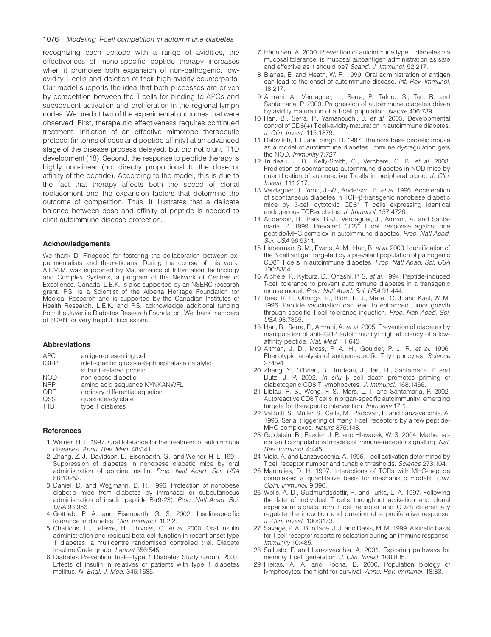#### 1076 Modeling T-cell competition in autoimmune diabetes

recognizing each epitope with a range of avidities, the effectiveness of mono-specific peptide therapy increases when it promotes both expansion of non-pathogenic, lowavidity T cells and deletion of their high-avidity counterparts. Our model supports the idea that both processes are driven by competition between the T cells for binding to APCs and subsequent activation and proliferation in the regional lymph nodes. We predict two of the experimental outcomes that were observed. First, therapeutic effectiveness requires continued treatment. Initiation of an effective mimotope therapeutic protocol (in terms of dose and peptide affinity) at an advanced stage of the disease process delayed, but did not blunt, T1D development (18). Second, the response to peptide therapy is highly non-linear (not directly proportional to the dose or affinity of the peptide). According to the model, this is due to the fact that therapy affects both the speed of clonal replacement and the expansion factors that determine the outcome of competition. Thus, it illustrates that a delicate balance between dose and affinity of peptide is needed to elicit autoimmune disease protection.

## Acknowledgements

We thank D. Finegood for fostering the collaboration between experimentalists and theoreticians. During the course of this work, A.F.M.M. was supported by Mathematics of Information Technology and Complex Systems, a program of the Network of Centres of Excellence, Canada. L.E.K. is also supported by an NSERC research grant. P.S. is a Scientist of the Alberta Heritage Foundation for Medical Research and is supported by the Canadian Institutes of Health Research. L.E.K. and P.S. acknowledge additional funding from the Juvenile Diabetes Research Foundation. We thank members of bCAN for very helpful discussions.

#### Abbreviations

| <b>APC</b>       | antigen-presenting cell                        |
|------------------|------------------------------------------------|
| <b>IGRP</b>      | islet-specific glucose-6-phosphatase catalytic |
|                  | subunit-related protein                        |
| <b>NOD</b>       | non-obese diabetic                             |
| <b>NRP</b>       | amino acid sequence KYNKANWFL                  |
| ODE.             | ordinary differential equation                 |
| QSS              | quasi-steady state                             |
| T <sub>1</sub> D | type 1 diabetes                                |
|                  |                                                |

#### **References**

- 1 Weiner, H. L. 1997. Oral tolerance for the treatment of autoimmune diseases. Annu. Rev. Med. 48:341.
- 2 Zhang, Z. J., Davidson, L., Eisenbarth, G., and Weiner, H. L. 1991. Suppression of diabetes in nonobese diabetic mice by oral administration of porcine insulin. Proc. Natl Acad. Sci. USA 88:10252.
- 3 Daniel, D. and Wegmann, D. R. 1996. Protection of nonobese diabetic mice from diabetes by intranasal or subcutaneous administration of insulin peptide B-(9-23). Proc. Natl Acad. Sci. USA 93:956.
- 4 Gottlieb, P. A. and Eisenbarth, G. S. 2002. Insulin-specific tolerance in diabetes. Clin. Immunol. 102:2.
- 5 Chaillous, L., Lefèvre, H., Thivolet, C. et al. 2000. Oral insulin administration and residual beta-cell function in recent-onset type 1 diabetes: a multicentre randomised controlled trial. Diabete Insuline Orale group. Lancet 356:545.
- 6 Diabetes Prevention Trial—Type 1 Diabetes Study Group. 2002. Effects of insulin in relatives of patients with type 1 diabetes mellitus. N. Engl. J. Med. 346:1685.
- 7 Hänninen, A. 2000. Prevention of autoimmune type 1 diabetes via mucosal tolerance: is mucosal autoantigen administration as safe and effective as it should be? Scand. J. Immunol. 52:217.
- 8 Blanas, E. and Heath, W. R. 1999. Oral administration of antigen can lead to the onset of autoimmune disease. Int. Rev. Immunol. 18:217.
- 9 Amrani, A., Verdaguer, J., Serra, P., Tafuro, S., Tan, R. and Santamaria, P. 2000. Progression of autoimmune diabetes driven by avidity maturation of a T-cell population. Nature 406:739.
- 10 Han, B., Serra, P., Yamanouchi, J. et al. 2005. Developmental control of  $CDS(+)$  Tcell-avidity maturation in autoimmune diabetes. J. Clin. Invest. 115:1879.
- 11 Delovitch, T. L. and Singh, B. 1997. The nonobese diabetic mouse as a model of autoimmune diabetes: immune dysregulation gets the NOD. Immunity 7:727.
- 12 Trudeau, J. D., Kelly-Smith, C., Verchere, C. B. et al. 2003. Prediction of spontaneous autoimmune diabetes in NOD mice by quantification of autoreactive T cells in peripheral blood. J. Clin.  $Invest 111:217$
- 13 Verdaguer, J., Yoon, J.-W., Anderson, B. et al. 1996. Acceleration of spontaneous diabetes in TCR-b-transgenic nonobese diabetic mice by  $\beta$ -cell cytotoxic CD8<sup>+</sup> T cells expressing identical endogenous TCR-a chains. J. Immunol. 157:4726.
- 14 Anderson, B., Park, B.-J., Verdaguer, J., Amrani, A. and Santamaria, P. 1999. Prevalent  $CDB^+$  T cell response against one peptide/MHC complex in autoimmune diabetes. Proc. Natl Acad. Sci. USA 96:9311.
- 15 Lieberman, S. M., Evans, A. M., Han, B. et al. 2003. Identification of the  $\beta$  cell antigen targeted by a prevalent population of pathogenic CD8+ T cells in autoimmune diabetes. Proc. Natl Acad. Sci. USA 100:8384.
- 16 Aichele, P., Kyburz, D., Ohashi, P. S. et al. 1994. Peptide-induced T-cell tolerance to prevent autoimmune diabetes in a transgenic mouse model. Proc. Natl Acad. Sci. USA 91:444.
- 17 Toes, R. E., Offringa, R., Blom, R. J., Melief, C. J. and Kast, W. M. 1996. Peptide vaccination can lead to enhanced tumor growth through specific T-cell tolerance induction. Proc. Natl Acad. Sci. USA 93:7855.
- 18 Han, B., Serra, P., Amrani, A. et al. 2005. Prevention of diabetes by manipulation of anti-IGRP autoimmunity: high efficiency of a lowaffinity peptide. Nat. Med. 11:645.
- 19 Altman, J. D., Moss, P. A. H., Goulder, P. J. R. et al. 1996. Phenotypic analysis of antigen-specific T lymphocytes. Science 274:94.
- 20 Zhang, Y., O'Brien, B., Trudeau, J., Tan, R., Santamaria, P. and Dutz, J. P. 2002. *In situ* B cell death promotes priming of diabetogenic CD8 T lymphocytes. J. Immunol. 168:1466.
- 21 Liblau, R. S., Wong, F. S., Mars, L. T. and Santamaria, P. 2002. Autoreactive CD8 Tcells in organ-specific autoimmunity: emerging targets for therapeutic intervention. Immunity 17:1.
- 22 Valitutti, S., Müller, S., Cella, M., Padovan, E. and Lanzavecchia, A. 1995. Serial triggering of many T-cell receptors by a few peptide-MHC complexes. Nature 375:148.
- 23 Goldstein, B., Faeder, J. R. and Hlavacek, W. S. 2004. Mathematical and computational models of immune-receptor signalling. Nat. Rev. Immunol. 4:445.
- 24 Viola, A. and Lanzavecchia, A. 1996. Tcell activation determined by T cell receptor number and tunable thresholds. Science 273:104.
- 25 Margulies, D. H. 1997. Interactions of TCRs with MHC-peptide complexes: a quantitative basis for mechanistic models. Curr. Opin. Immunol. 9:390.
- 26 Wells, A. D., Gudmundsdottir, H. and Turka, L. A. 1997. Following the fate of individual T cells throughout activation and clonal expansion: signals from T cell receptor and CD28 differentially regulate the induction and duration of a proliferative response. J. Clin. Invest. 100:3173.
- 27 Savage, P. A., Boniface, J. J. and Davis, M. M. 1999. A kinetic basis for Tcell receptor repertoire selection during an immune response. Immunity 10:485.
- 28 Sallusto, F. and Lanzavecchia, A. 2001. Exploring pathways for memory T cell generation. J. Clin. Invest. 108:805.
- 29 Freitas, A. A. and Rocha, B. 2000. Population biology of lymphocytes: the flight for survival. Annu. Rev. Immunol. 18:83.